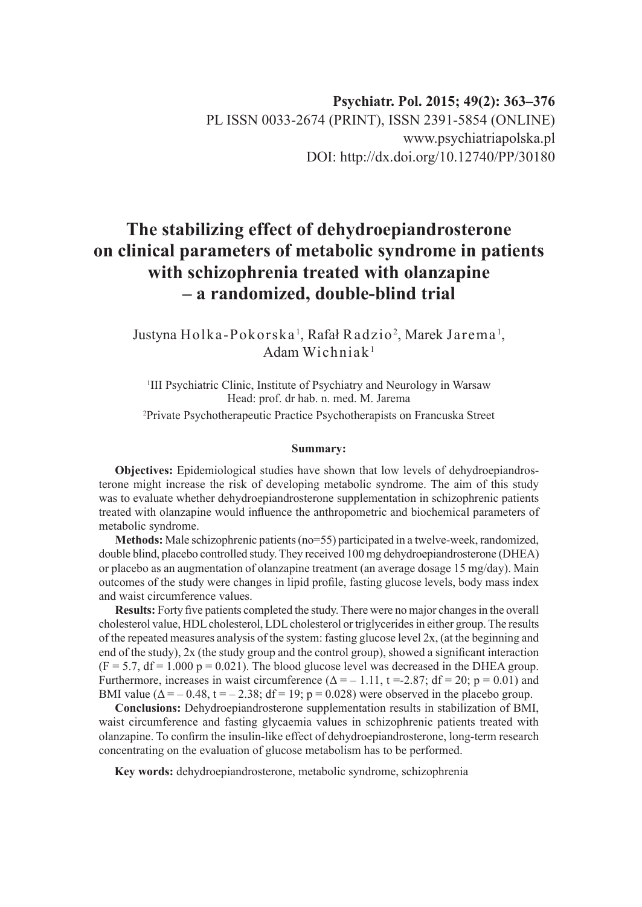# **The stabilizing effect of dehydroepiandrosterone on clinical parameters of metabolic syndrome in patients with schizophrenia treated with olanzapine – a randomized, double-blind trial**

# Justyna Holka-Pokorska', Rafał Radzio<sup>2</sup>, Marek Jarema', Adam Wichniak1

<sup>1</sup>III Psychiatric Clinic, Institute of Psychiatry and Neurology in Warsaw Head: prof. dr hab. n. med. M. Jarema 2 Private Psychotherapeutic Practice Psychotherapists on Francuska Street

#### **Summary:**

**Objectives:** Epidemiological studies have shown that low levels of dehydroepiandrosterone might increase the risk of developing metabolic syndrome. The aim of this study was to evaluate whether dehydroepiandrosterone supplementation in schizophrenic patients treated with olanzapine would influence the anthropometric and biochemical parameters of metabolic syndrome.

**Methods:** Male schizophrenic patients (no=55) participated in a twelve-week, randomized, double blind, placebo controlled study. They received 100 mg dehydroepiandrosterone (DHEA) or placebo as an augmentation of olanzapine treatment (an average dosage 15 mg/day). Main outcomes of the study were changes in lipid profile, fasting glucose levels, body mass index and waist circumference values.

**Results:** Forty five patients completed the study. There were no major changes in the overall cholesterol value, HDL cholesterol, LDL cholesterol or triglycerides in either group. The results of the repeated measures analysis of the system: fasting glucose level 2x, (at the beginning and end of the study), 2x (the study group and the control group), showed a significant interaction  $(F = 5.7, df = 1.000 p = 0.021)$ . The blood glucose level was decreased in the DHEA group. Furthermore, increases in waist circumference  $(\Delta = -1.11, t = -2.87; df = 20; p = 0.01)$  and BMI value ( $\Delta = -0.48$ ,  $t = -2.38$ ; df = 19; p = 0.028) were observed in the placebo group.

**Conclusions:** Dehydroepiandrosterone supplementation results in stabilization of BMI, waist circumference and fasting glycaemia values in schizophrenic patients treated with olanzapine. To confirm the insulin-like effect of dehydroepiandrosterone, long-term research concentrating on the evaluation of glucose metabolism has to be performed.

**Key words:** dehydroepiandrosterone, metabolic syndrome, schizophrenia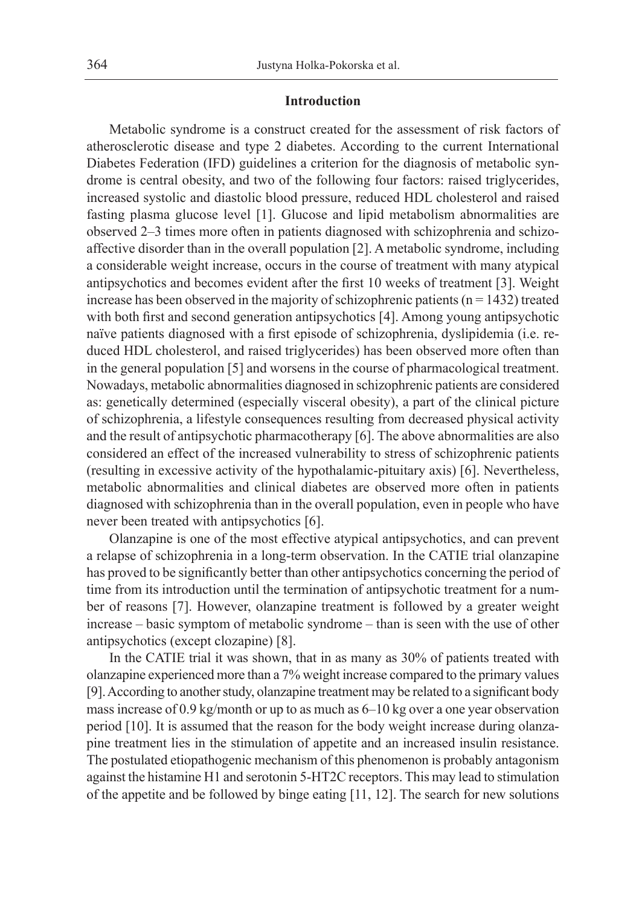#### **Introduction**

Metabolic syndrome is a construct created for the assessment of risk factors of atherosclerotic disease and type 2 diabetes. According to the current International Diabetes Federation (IFD) guidelines a criterion for the diagnosis of metabolic syndrome is central obesity, and two of the following four factors: raised triglycerides, increased systolic and diastolic blood pressure, reduced HDL cholesterol and raised fasting plasma glucose level [1]. Glucose and lipid metabolism abnormalities are observed 2–3 times more often in patients diagnosed with schizophrenia and schizoaffective disorder than in the overall population [2]. A metabolic syndrome, including a considerable weight increase, occurs in the course of treatment with many atypical antipsychotics and becomes evident after the first 10 weeks of treatment [3]. Weight increase has been observed in the majority of schizophrenic patients ( $n = 1432$ ) treated with both first and second generation antipsychotics [4]. Among young antipsychotic naïve patients diagnosed with a first episode of schizophrenia, dyslipidemia (i.e. reduced HDL cholesterol, and raised triglycerides) has been observed more often than in the general population [5] and worsens in the course of pharmacological treatment. Nowadays, metabolic abnormalities diagnosed in schizophrenic patients are considered as: genetically determined (especially visceral obesity), a part of the clinical picture of schizophrenia, a lifestyle consequences resulting from decreased physical activity and the result of antipsychotic pharmacotherapy [6]. The above abnormalities are also considered an effect of the increased vulnerability to stress of schizophrenic patients (resulting in excessive activity of the hypothalamic-pituitary axis) [6]. Nevertheless, metabolic abnormalities and clinical diabetes are observed more often in patients diagnosed with schizophrenia than in the overall population, even in people who have never been treated with antipsychotics [6].

Olanzapine is one of the most effective atypical antipsychotics, and can prevent a relapse of schizophrenia in a long-term observation. In the CATIE trial olanzapine has proved to be significantly better than other antipsychotics concerning the period of time from its introduction until the termination of antipsychotic treatment for a number of reasons [7]. However, olanzapine treatment is followed by a greater weight increase – basic symptom of metabolic syndrome – than is seen with the use of other antipsychotics (except clozapine) [8].

In the CATIE trial it was shown, that in as many as 30% of patients treated with olanzapine experienced more than a 7% weight increase compared to the primary values [9]. According to another study, olanzapine treatment may be related to a significant body mass increase of 0.9 kg/month or up to as much as 6–10 kg over a one year observation period [10]. It is assumed that the reason for the body weight increase during olanzapine treatment lies in the stimulation of appetite and an increased insulin resistance. The postulated etiopathogenic mechanism of this phenomenon is probably antagonism against the histamine H1 and serotonin 5-HT2C receptors. This may lead to stimulation of the appetite and be followed by binge eating [11, 12]. The search for new solutions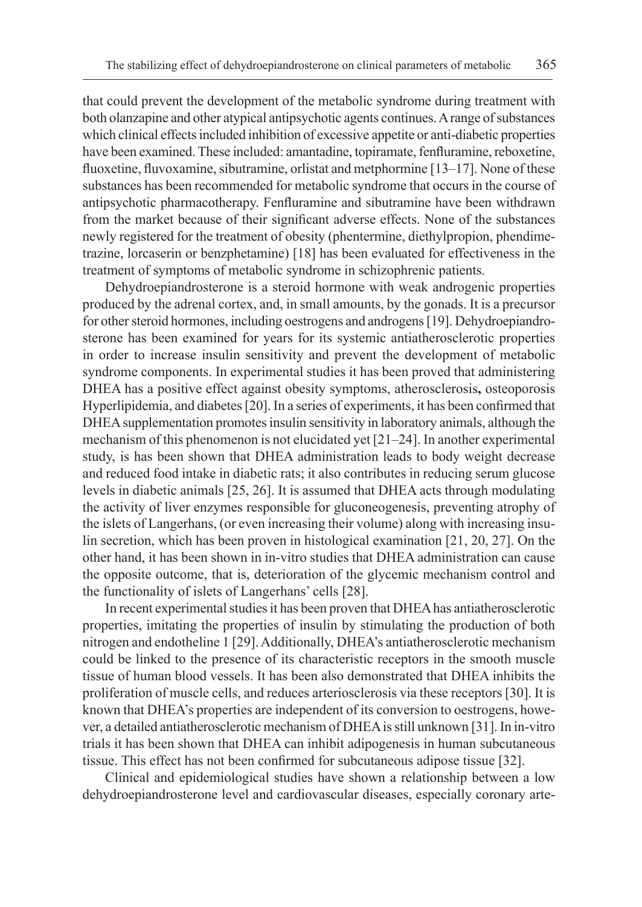that could prevent the development of the metabolic syndrome during treatment with both olanzapine and other atypical antipsychotic agents continues. Arange of substances which clinical effects included inhibition of excessive appetite or anti-diabetic properties have been examined. These included: amantadine, topiramate, fenfluramine, reboxetine, fluoxetine, fluvoxamine, sibutramine, orlistat and metphormine [13–17]. None of these substances has been recommended for metabolic syndrome that occurs in the course of antipsychotic pharmacotherapy. Fenfluramine and sibutramine have been withdrawn from the market because of their significant adverse effects. None of the substances newly registered for the treatment of obesity (phentermine, diethylpropion, phendimetrazine, lorcaserin or benzphetamine) [18] has been evaluated for effectiveness in the treatment of symptoms of metabolic syndrome in schizophrenic patients.

Dehydroepiandrosterone is a steroid hormone with weak androgenic properties produced by the adrenal cortex, and, in small amounts, by the gonads. It is a precursor for other steroid hormones, including oestrogens and androgens [19]. Dehydroepiandrosterone has been examined for years for its systemic antiatherosclerotic properties in order to increase insulin sensitivity and prevent the development of metabolic syndrome components. In experimental studies it has been proved that administering DHEA has a positive effect against obesity symptoms, atherosclerosis**,** osteoporosis Hyperlipidemia, and diabetes [20]. In a series of experiments, it has been confirmed that DHEA supplementation promotes insulin sensitivity in laboratory animals, although the mechanism of this phenomenon is not elucidated yet [21–24]. In another experimental study, is has been shown that DHEA administration leads to body weight decrease and reduced food intake in diabetic rats; it also contributes in reducing serum glucose levels in diabetic animals [25, 26]. It is assumed that DHEA acts through modulating the activity of liver enzymes responsible for gluconeogenesis, preventing atrophy of the islets of Langerhans, (or even increasing their volume) along with increasing insulin secretion, which has been proven in histological examination [21, 20, 27]. On the other hand, it has been shown in in-vitro studies that DHEA administration can cause the opposite outcome, that is, deterioration of the glycemic mechanism control and the functionality of islets of Langerhans' cells [28].

In recent experimental studies it has been proven that DHEA has antiatherosclerotic properties, imitating the properties of insulin by stimulating the production of both nitrogen and endotheline 1 [29]. Additionally, DHEA's antiatherosclerotic mechanism could be linked to the presence of its characteristic receptors in the smooth muscle tissue of human blood vessels. It has been also demonstrated that DHEA inhibits the proliferation of muscle cells, and reduces arteriosclerosis via these receptors [30]. It is known that DHEA's properties are independent of its conversion to oestrogens, however, a detailed antiatherosclerotic mechanism of DHEA is still unknown [31]. In in-vitro trials it has been shown that DHEA can inhibit adipogenesis in human subcutaneous tissue. This effect has not been confirmed for subcutaneous adipose tissue [32].

Clinical and epidemiological studies have shown a relationship between a low dehydroepiandrosterone level and cardiovascular diseases, especially coronary arte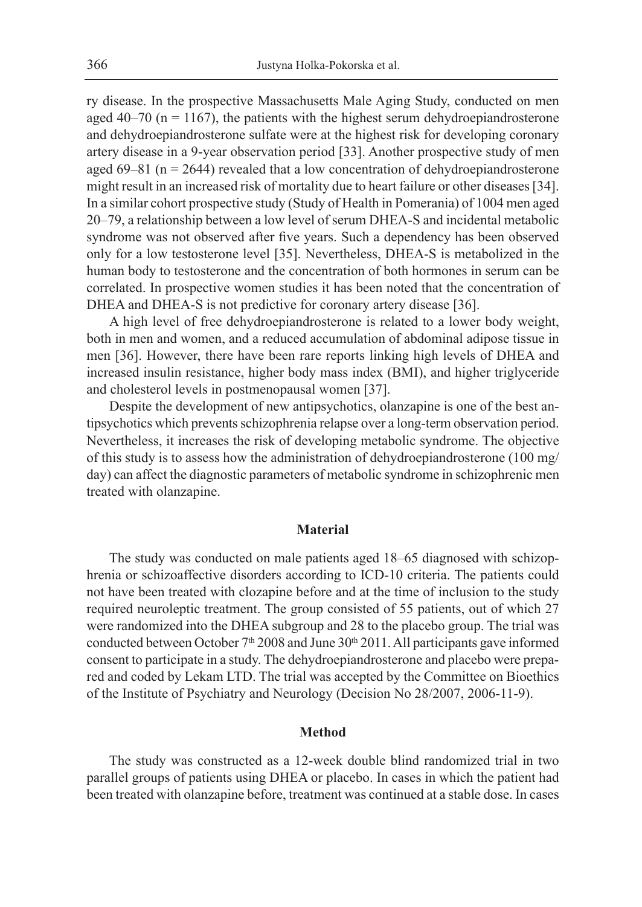ry disease. In the prospective Massachusetts Male Aging Study, conducted on men aged 40–70 ( $n = 1167$ ), the patients with the highest serum dehydroepiandrosterone and dehydroepiandrosterone sulfate were at the highest risk for developing coronary artery disease in a 9-year observation period [33]. Another prospective study of men aged 69–81 ( $n = 2644$ ) revealed that a low concentration of dehydroepiandrosterone might result in an increased risk of mortality due to heart failure or other diseases [34]. In a similar cohort prospective study (Study of Health in Pomerania) of 1004 men aged 20–79, a relationship between a low level of serum DHEA-S and incidental metabolic syndrome was not observed after five years. Such a dependency has been observed only for a low testosterone level [35]. Nevertheless, DHEA-S is metabolized in the human body to testosterone and the concentration of both hormones in serum can be correlated. In prospective women studies it has been noted that the concentration of DHEA and DHEA-S is not predictive for coronary artery disease [36].

A high level of free dehydroepiandrosterone is related to a lower body weight, both in men and women, and a reduced accumulation of abdominal adipose tissue in men [36]. However, there have been rare reports linking high levels of DHEA and increased insulin resistance, higher body mass index (BMI), and higher triglyceride and cholesterol levels in postmenopausal women [37].

Despite the development of new antipsychotics, olanzapine is one of the best antipsychotics which prevents schizophrenia relapse over a long-term observation period. Nevertheless, it increases the risk of developing metabolic syndrome. The objective of this study is to assess how the administration of dehydroepiandrosterone (100 mg/ day) can affect the diagnostic parameters of metabolic syndrome in schizophrenic men treated with olanzapine.

#### **Material**

The study was conducted on male patients aged 18–65 diagnosed with schizophrenia or schizoaffective disorders according to ICD-10 criteria. The patients could not have been treated with clozapine before and at the time of inclusion to the study required neuroleptic treatment. The group consisted of 55 patients, out of which 27 were randomized into the DHEA subgroup and 28 to the placebo group. The trial was conducted between October  $7<sup>th</sup> 2008$  and June  $30<sup>th</sup> 2011$ . All participants gave informed consent to participate in a study. The dehydroepiandrosterone and placebo were prepared and coded by Lekam LTD. The trial was accepted by the Committee on Bioethics of the Institute of Psychiatry and Neurology (Decision No 28/2007, 2006-11-9).

### **Method**

The study was constructed as a 12-week double blind randomized trial in two parallel groups of patients using DHEA or placebo. In cases in which the patient had been treated with olanzapine before, treatment was continued at a stable dose. In cases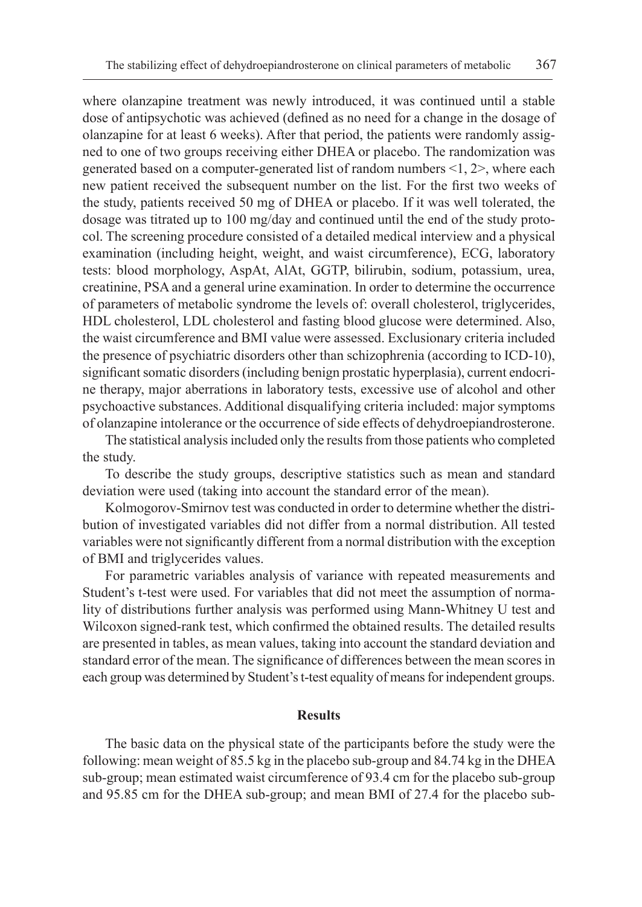where olanzapine treatment was newly introduced, it was continued until a stable dose of antipsychotic was achieved (defined as no need for a change in the dosage of olanzapine for at least 6 weeks). After that period, the patients were randomly assigned to one of two groups receiving either DHEA or placebo. The randomization was generated based on a computer-generated list of random numbers  $\leq 1$ ,  $2$ , where each new patient received the subsequent number on the list. For the first two weeks of the study, patients received 50 mg of DHEA or placebo. If it was well tolerated, the dosage was titrated up to 100 mg/day and continued until the end of the study protocol. The screening procedure consisted of a detailed medical interview and a physical examination (including height, weight, and waist circumference), ECG, laboratory tests: blood morphology, AspAt, AlAt, GGTP, bilirubin, sodium, potassium, urea, creatinine, PSA and a general urine examination. In order to determine the occurrence of parameters of metabolic syndrome the levels of: overall cholesterol, triglycerides, HDL cholesterol, LDL cholesterol and fasting blood glucose were determined. Also, the waist circumference and BMI value were assessed. Exclusionary criteria included the presence of psychiatric disorders other than schizophrenia (according to ICD-10), significant somatic disorders (including benign prostatic hyperplasia), current endocrine therapy, major aberrations in laboratory tests, excessive use of alcohol and other psychoactive substances. Additional disqualifying criteria included: major symptoms of olanzapine intolerance or the occurrence of side effects of dehydroepiandrosterone.

The statistical analysis included only the results from those patients who completed the study.

To describe the study groups, descriptive statistics such as mean and standard deviation were used (taking into account the standard error of the mean).

Kolmogorov-Smirnov test was conducted in order to determine whether the distribution of investigated variables did not differ from a normal distribution. All tested variables were not significantly different from a normal distribution with the exception of BMI and triglycerides values.

For parametric variables analysis of variance with repeated measurements and Student's t-test were used. For variables that did not meet the assumption of normality of distributions further analysis was performed using Mann-Whitney U test and Wilcoxon signed-rank test, which confirmed the obtained results. The detailed results are presented in tables, as mean values, taking into account the standard deviation and standard error of the mean. The significance of differences between the mean scores in each group was determined by Student's t-test equality of means for independent groups.

#### **Results**

The basic data on the physical state of the participants before the study were the following: mean weight of 85.5 kg in the placebo sub-group and 84.74 kg in the DHEA sub-group; mean estimated waist circumference of 93.4 cm for the placebo sub-group and 95.85 cm for the DHEA sub-group; and mean BMI of 27.4 for the placebo sub-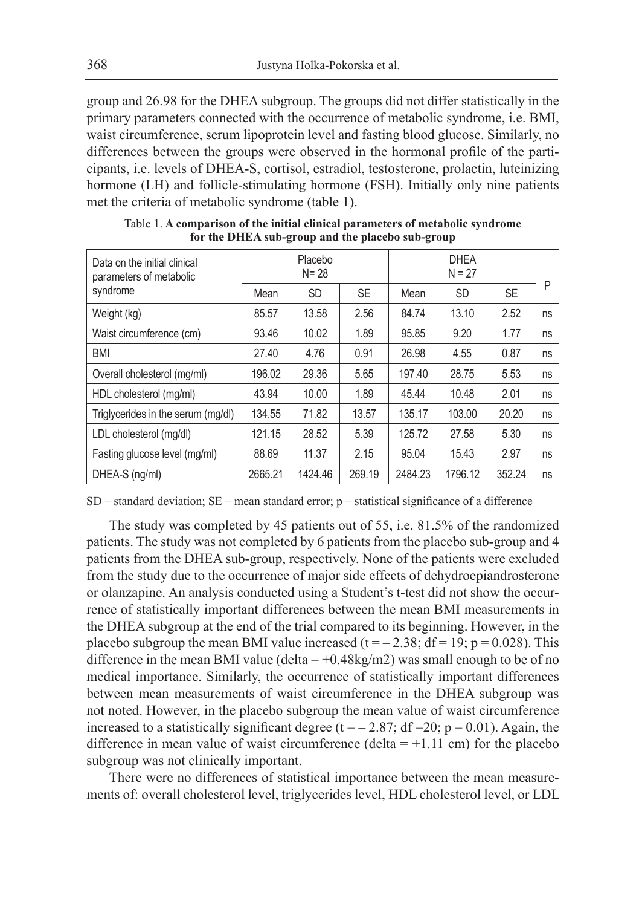group and 26.98 for the DHEA subgroup. The groups did not differ statistically in the primary parameters connected with the occurrence of metabolic syndrome, i.e. BMI, waist circumference, serum lipoprotein level and fasting blood glucose. Similarly, no differences between the groups were observed in the hormonal profile of the participants, i.e. levels of DHEA-S, cortisol, estradiol, testosterone, prolactin, luteinizing hormone (LH) and follicle-stimulating hormone (FSH). Initially only nine patients met the criteria of metabolic syndrome (table 1).

| Data on the initial clinical<br>parameters of metabolic | Placebo<br>$N = 28$ |           |           | <b>DHEA</b><br>$N = 27$ |           |           |    |
|---------------------------------------------------------|---------------------|-----------|-----------|-------------------------|-----------|-----------|----|
| syndrome                                                | Mean                | <b>SD</b> | <b>SE</b> | Mean                    | <b>SD</b> | <b>SE</b> | P  |
| Weight (kg)                                             | 85.57               | 13.58     | 2.56      | 84.74                   | 13.10     | 2.52      | ns |
| Waist circumference (cm)                                | 93.46               | 10.02     | 1.89      | 95.85                   | 9.20      | 1.77      | ns |
| <b>BMI</b>                                              | 27.40               | 4.76      | 0.91      | 26.98                   | 4.55      | 0.87      | ns |
| Overall cholesterol (mg/ml)                             | 196.02              | 29.36     | 5.65      | 197.40                  | 28.75     | 5.53      | ns |
| HDL cholesterol (mg/ml)                                 | 43.94               | 10.00     | 1.89      | 45.44                   | 10.48     | 2.01      | ns |
| Triglycerides in the serum (mg/dl)                      | 134.55              | 71.82     | 13.57     | 135.17                  | 103.00    | 20.20     | ns |
| LDL cholesterol (mg/dl)                                 | 121.15              | 28.52     | 5.39      | 125.72                  | 27.58     | 5.30      | ns |
| Fasting glucose level (mg/ml)                           | 88.69               | 11.37     | 2.15      | 95.04                   | 15.43     | 2.97      | ns |
| DHEA-S (ng/ml)                                          | 2665.21             | 1424.46   | 269.19    | 2484.23                 | 1796.12   | 352.24    | ns |

Table 1. **A comparison of the initial clinical parameters of metabolic syndrome for the DHEA sub-group and the placebo sub-group**

 $SD$  – standard deviation;  $SE$  – mean standard error;  $p$  – statistical significance of a difference

The study was completed by 45 patients out of 55, i.e. 81.5% of the randomized patients. The study was not completed by 6 patients from the placebo sub-group and 4 patients from the DHEA sub-group, respectively. None of the patients were excluded from the study due to the occurrence of major side effects of dehydroepiandrosterone or olanzapine. An analysis conducted using a Student's t-test did not show the occurrence of statistically important differences between the mean BMI measurements in the DHEA subgroup at the end of the trial compared to its beginning. However, in the placebo subgroup the mean BMI value increased  $(t = -2.38; df = 19; p = 0.028)$ . This difference in the mean BMI value (delta =  $+0.48$ kg/m2) was small enough to be of no medical importance. Similarly, the occurrence of statistically important differences between mean measurements of waist circumference in the DHEA subgroup was not noted. However, in the placebo subgroup the mean value of waist circumference increased to a statistically significant degree ( $t = -2.87$ ; df = 20; p = 0.01). Again, the difference in mean value of waist circumference (delta  $= +1.11$  cm) for the placebo subgroup was not clinically important.

There were no differences of statistical importance between the mean measurements of: overall cholesterol level, triglycerides level, HDL cholesterol level, or LDL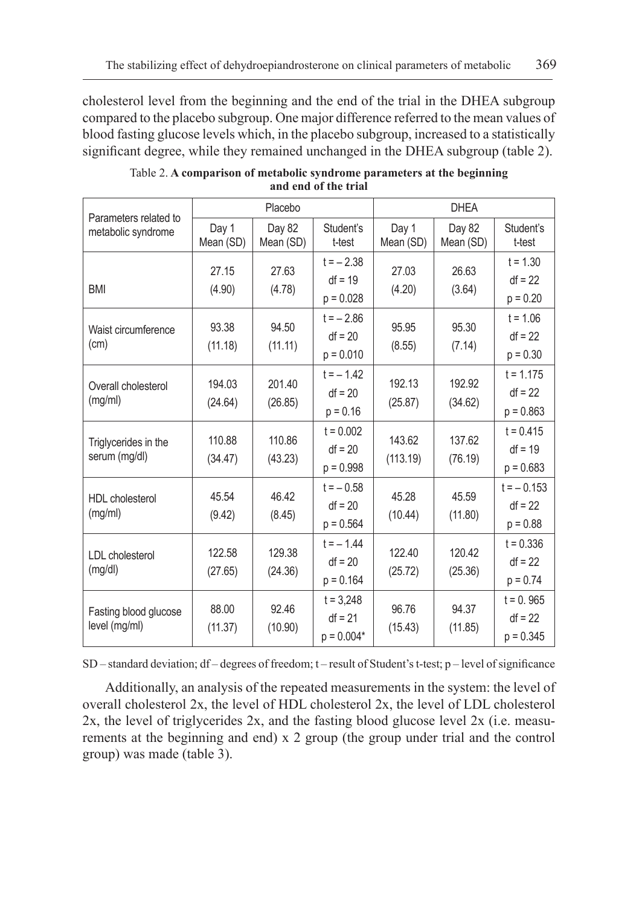cholesterol level from the beginning and the end of the trial in the DHEA subgroup compared to the placebo subgroup. One major difference referred to the mean values of blood fasting glucose levels which, in the placebo subgroup, increased to a statistically significant degree, while they remained unchanged in the DHEA subgroup (table 2).

|                                             |                    | Placebo             |                                          | <b>DHEA</b>        |                     |                                         |  |
|---------------------------------------------|--------------------|---------------------|------------------------------------------|--------------------|---------------------|-----------------------------------------|--|
| Parameters related to<br>metabolic syndrome | Day 1<br>Mean (SD) | Day 82<br>Mean (SD) | Student's<br>t-test                      | Day 1<br>Mean (SD) | Day 82<br>Mean (SD) | Student's<br>t-test                     |  |
| <b>BMI</b>                                  | 27.15<br>(4.90)    | 27.63<br>(4.78)     | $t = -2.38$<br>$df = 19$<br>$p = 0.028$  | 27.03<br>(4.20)    | 26.63<br>(3.64)     | $t = 1.30$<br>$df = 22$<br>$p = 0.20$   |  |
| Waist circumference<br>(cm)                 | 93.38<br>(11.18)   | 94.50<br>(11.11)    | $t = -2.86$<br>$df = 20$<br>$p = 0.010$  | 95.95<br>(8.55)    | 95.30<br>(7.14)     | $t = 1.06$<br>$df = 22$<br>$p = 0.30$   |  |
| Overall cholesterol<br>(mg/ml)              | 194.03<br>(24.64)  | 201.40<br>(26.85)   | $t = -1.42$<br>$df = 20$<br>$p = 0.16$   | 192.13<br>(25.87)  | 192.92<br>(34.62)   | $t = 1.175$<br>$df = 22$<br>$p = 0.863$ |  |
| Triglycerides in the<br>serum (mg/dl)       | 110.88<br>(34.47)  | 110.86<br>(43.23)   | $t = 0.002$<br>$df = 20$<br>$p = 0.998$  | 143.62<br>(113.19) | 137.62<br>(76.19)   | $t = 0.415$<br>$df = 19$<br>$p = 0.683$ |  |
| <b>HDL</b> cholesterol<br>(mq/ml)           | 45.54<br>(9.42)    | 46.42<br>(8.45)     | $t = -0.58$<br>$df = 20$<br>$p = 0.564$  | 45.28<br>(10.44)   | 45.59<br>(11.80)    | $t = -0.153$<br>$df = 22$<br>$p = 0.88$ |  |
| <b>LDL</b> cholesterol<br>(mg/dl)           | 122.58<br>(27.65)  | 129.38<br>(24.36)   | $t = -1.44$<br>$df = 20$<br>$p = 0.164$  | 122.40<br>(25.72)  | 120.42<br>(25.36)   | $t = 0.336$<br>$df = 22$<br>$p = 0.74$  |  |
| Fasting blood glucose<br>level (mg/ml)      | 88.00<br>(11.37)   | 92.46<br>(10.90)    | $t = 3,248$<br>$df = 21$<br>$p = 0.004*$ | 96.76<br>(15.43)   | 94.37<br>(11.85)    | $t = 0.965$<br>$df = 22$<br>$p = 0.345$ |  |

Table 2. **A comparison of metabolic syndrome parameters at the beginning and end of the trial**

SD – standard deviation; df – degrees of freedom; t – result of Student's t-test; p – level of significance

Additionally, an analysis of the repeated measurements in the system: the level of overall cholesterol 2x, the level of HDL cholesterol 2x, the level of LDL cholesterol 2x, the level of triglycerides 2x, and the fasting blood glucose level 2x (i.e. measurements at the beginning and end) x 2 group (the group under trial and the control group) was made (table 3).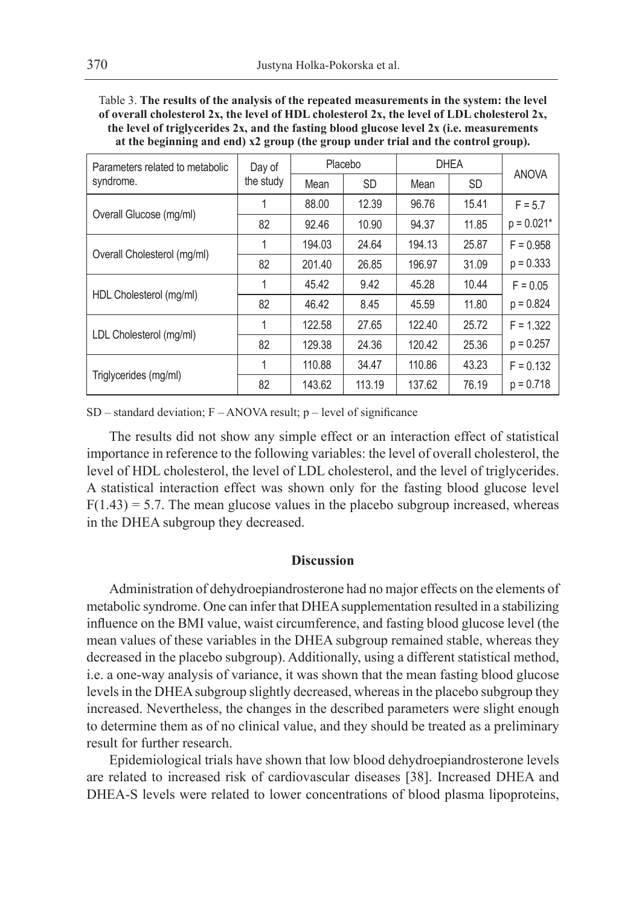Table 3. **The results of the analysis of the repeated measurements in the system: the level of overall cholesterol 2x, the level of HDL cholesterol 2x, the level of LDL cholesterol 2x, the level of triglycerides 2x, and the fasting blood glucose level 2x (i.e. measurements at the beginning and end) x2 group (the group under trial and the control group).**

| Parameters related to metabolic | Day of    | Placebo |           | <b>DHEA</b> |           | <b>ANOVA</b> |
|---------------------------------|-----------|---------|-----------|-------------|-----------|--------------|
| syndrome.                       | the study | Mean    | <b>SD</b> | Mean        | <b>SD</b> |              |
| Overall Glucose (mg/ml)         | 1         | 88.00   | 12.39     | 96.76       | 15.41     | $F = 5.7$    |
|                                 | 82        | 92.46   | 10.90     | 94.37       | 11.85     | $p = 0.021*$ |
| Overall Cholesterol (mg/ml)     | 1         | 194.03  | 24.64     | 194.13      | 25.87     | $F = 0.958$  |
|                                 | 82        | 201.40  | 26.85     | 196.97      | 31.09     | $p = 0.333$  |
| HDL Cholesterol (mg/ml)         | 1         | 45.42   | 9.42      | 45.28       | 10.44     | $F = 0.05$   |
|                                 | 82        | 46.42   | 8.45      | 45.59       | 11.80     | $p = 0.824$  |
| LDL Cholesterol (mg/ml)         | 1         | 122.58  | 27.65     | 122.40      | 25.72     | $F = 1.322$  |
|                                 | 82        | 129.38  | 24.36     | 120.42      | 25.36     | $p = 0.257$  |
| Triglycerides (mg/ml)           | 1         | 110.88  | 34.47     | 110.86      | 43.23     | $F = 0.132$  |
|                                 | 82        | 143.62  | 113.19    | 137.62      | 76.19     | $p = 0.718$  |

 $SD - standard deviation$ ;  $F - ANOVA$  result;  $p - level of significance$ 

The results did not show any simple effect or an interaction effect of statistical importance in reference to the following variables: the level of overall cholesterol, the level of HDL cholesterol, the level of LDL cholesterol, and the level of triglycerides. A statistical interaction effect was shown only for the fasting blood glucose level  $F(1.43) = 5.7$ . The mean glucose values in the placebo subgroup increased, whereas in the DHEA subgroup they decreased.

### **Discussion**

Administration of dehydroepiandrosterone had no major effects on the elements of metabolic syndrome. One can infer that DHEA supplementation resulted in a stabilizing influence on the BMI value, waist circumference, and fasting blood glucose level (the mean values of these variables in the DHEA subgroup remained stable, whereas they decreased in the placebo subgroup). Additionally, using a different statistical method, i.e. a one-way analysis of variance, it was shown that the mean fasting blood glucose levels in the DHEA subgroup slightly decreased, whereas in the placebo subgroup they increased. Nevertheless, the changes in the described parameters were slight enough to determine them as of no clinical value, and they should be treated as a preliminary result for further research.

Epidemiological trials have shown that low blood dehydroepiandrosterone levels are related to increased risk of cardiovascular diseases [38]. Increased DHEA and DHEA-S levels were related to lower concentrations of blood plasma lipoproteins,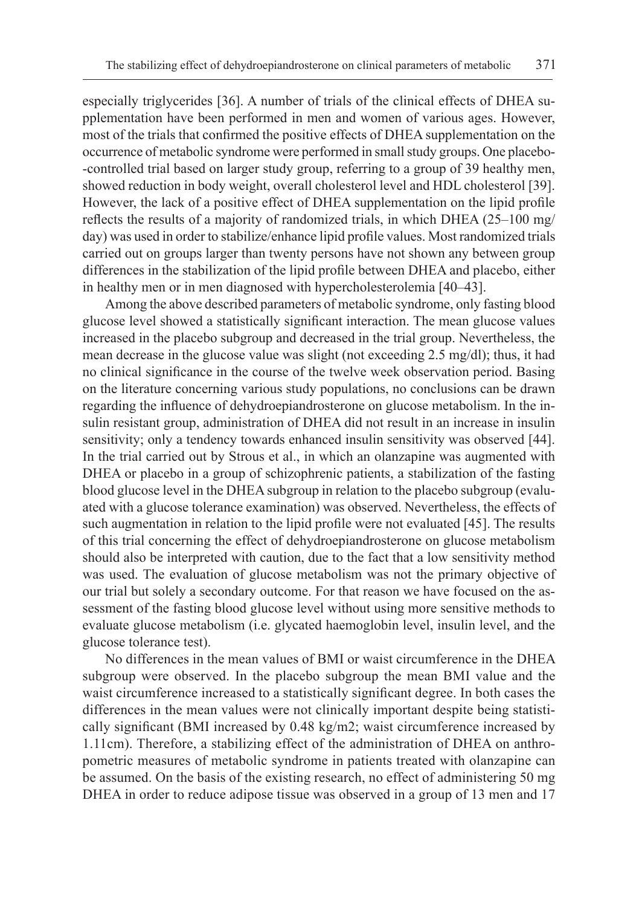especially triglycerides [36]. A number of trials of the clinical effects of DHEA supplementation have been performed in men and women of various ages. However, most of the trials that confirmed the positive effects of DHEA supplementation on the occurrence of metabolic syndrome were performed in small study groups. One placebo- -controlled trial based on larger study group, referring to a group of 39 healthy men, showed reduction in body weight, overall cholesterol level and HDL cholesterol [39]. However, the lack of a positive effect of DHEA supplementation on the lipid profile reflects the results of a majority of randomized trials, in which DHEA (25–100 mg/ day) was used in order to stabilize/enhance lipid profile values. Most randomized trials carried out on groups larger than twenty persons have not shown any between group differences in the stabilization of the lipid profile between DHEA and placebo, either in healthy men or in men diagnosed with hypercholesterolemia [40–43].

Among the above described parameters of metabolic syndrome, only fasting blood glucose level showed a statistically significant interaction. The mean glucose values increased in the placebo subgroup and decreased in the trial group. Nevertheless, the mean decrease in the glucose value was slight (not exceeding 2.5 mg/dl); thus, it had no clinical significance in the course of the twelve week observation period. Basing on the literature concerning various study populations, no conclusions can be drawn regarding the influence of dehydroepiandrosterone on glucose metabolism. In the insulin resistant group, administration of DHEA did not result in an increase in insulin sensitivity; only a tendency towards enhanced insulin sensitivity was observed [44]. In the trial carried out by Strous et al., in which an olanzapine was augmented with DHEA or placebo in a group of schizophrenic patients, a stabilization of the fasting blood glucose level in the DHEA subgroup in relation to the placebo subgroup (evaluated with a glucose tolerance examination) was observed. Nevertheless, the effects of such augmentation in relation to the lipid profile were not evaluated [45]. The results of this trial concerning the effect of dehydroepiandrosterone on glucose metabolism should also be interpreted with caution, due to the fact that a low sensitivity method was used. The evaluation of glucose metabolism was not the primary objective of our trial but solely a secondary outcome. For that reason we have focused on the assessment of the fasting blood glucose level without using more sensitive methods to evaluate glucose metabolism (i.e. glycated haemoglobin level, insulin level, and the glucose tolerance test).

No differences in the mean values of BMI or waist circumference in the DHEA subgroup were observed. In the placebo subgroup the mean BMI value and the waist circumference increased to a statistically significant degree. In both cases the differences in the mean values were not clinically important despite being statistically significant (BMI increased by 0.48 kg/m2; waist circumference increased by 1.11cm). Therefore, a stabilizing effect of the administration of DHEA on anthropometric measures of metabolic syndrome in patients treated with olanzapine can be assumed. On the basis of the existing research, no effect of administering 50 mg DHEA in order to reduce adipose tissue was observed in a group of 13 men and 17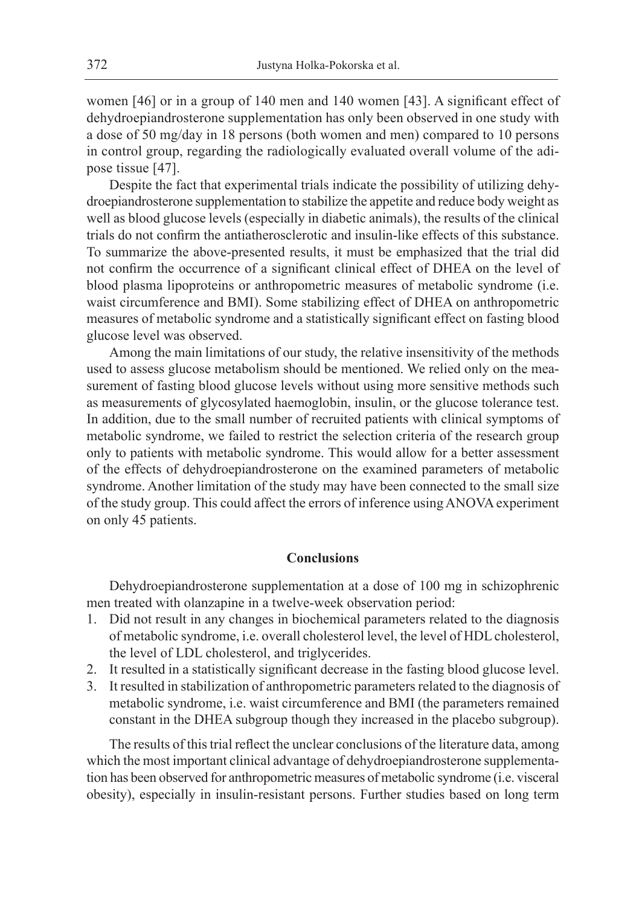women [46] or in a group of 140 men and 140 women [43]. A significant effect of dehydroepiandrosterone supplementation has only been observed in one study with a dose of 50 mg/day in 18 persons (both women and men) compared to 10 persons in control group, regarding the radiologically evaluated overall volume of the adipose tissue [47].

Despite the fact that experimental trials indicate the possibility of utilizing dehydroepiandrosterone supplementation to stabilize the appetite and reduce body weight as well as blood glucose levels (especially in diabetic animals), the results of the clinical trials do not confirm the antiatherosclerotic and insulin-like effects of this substance. To summarize the above-presented results, it must be emphasized that the trial did not confirm the occurrence of a significant clinical effect of DHEA on the level of blood plasma lipoproteins or anthropometric measures of metabolic syndrome (i.e. waist circumference and BMI). Some stabilizing effect of DHEA on anthropometric measures of metabolic syndrome and a statistically significant effect on fasting blood glucose level was observed.

Among the main limitations of our study, the relative insensitivity of the methods used to assess glucose metabolism should be mentioned. We relied only on the measurement of fasting blood glucose levels without using more sensitive methods such as measurements of glycosylated haemoglobin, insulin, or the glucose tolerance test. In addition, due to the small number of recruited patients with clinical symptoms of metabolic syndrome, we failed to restrict the selection criteria of the research group only to patients with metabolic syndrome. This would allow for a better assessment of the effects of dehydroepiandrosterone on the examined parameters of metabolic syndrome. Another limitation of the study may have been connected to the small size of the study group. This could affect the errors of inference using ANOVA experiment on only 45 patients.

#### **Conclusions**

Dehydroepiandrosterone supplementation at a dose of 100 mg in schizophrenic men treated with olanzapine in a twelve-week observation period:

- 1. Did not result in any changes in biochemical parameters related to the diagnosis of metabolic syndrome, i.e. overall cholesterol level, the level of HDL cholesterol, the level of LDL cholesterol, and triglycerides.
- 2. It resulted in a statistically significant decrease in the fasting blood glucose level.
- 3. It resulted in stabilization of anthropometric parameters related to the diagnosis of metabolic syndrome, i.e. waist circumference and BMI (the parameters remained constant in the DHEA subgroup though they increased in the placebo subgroup).

The results of this trial reflect the unclear conclusions of the literature data, among which the most important clinical advantage of dehydroepiandrosterone supplementation has been observed for anthropometric measures of metabolic syndrome (i.e. visceral obesity), especially in insulin-resistant persons. Further studies based on long term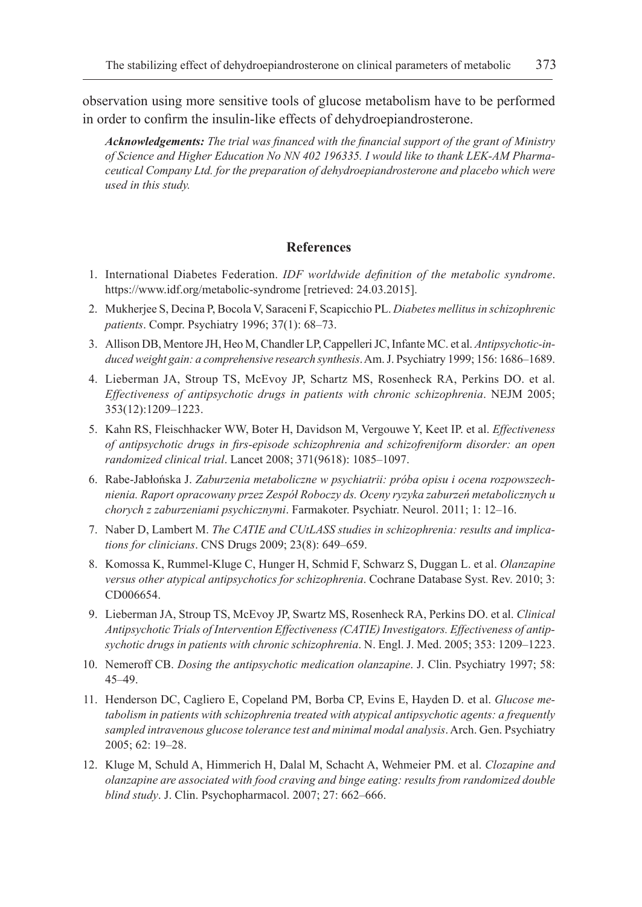observation using more sensitive tools of glucose metabolism have to be performed in order to confirm the insulin-like effects of dehydroepiandrosterone.

*Acknowledgements: The trial was financed with the financial support of the grant of Ministry of Science and Higher Education No NN 402 196335. I would like to thank LEK-AM Pharmaceutical Company Ltd. for the preparation of dehydroepiandrosterone and placebo which were used in this study.*

## **References**

- 1. International Diabetes Federation. *IDF worldwide definition of the metabolic syndrome*. https://www.idf.org/metabolic-syndrome [retrieved: 24.03.2015].
- 2. Mukherjee S, Decina P, Bocola V, Saraceni F, Scapicchio PL. *Diabetes mellitus in schizophrenic patients*. Compr. Psychiatry 1996; 37(1): 68–73.
- 3. Allison DB, Mentore JH, Heo M, Chandler LP, Cappelleri JC, Infante MC. et al. *Antipsychotic-induced weight gain: a comprehensive research synthesis*. Am. J. Psychiatry 1999; 156: 1686–1689.
- 4. Lieberman JA, Stroup TS, McEvoy JP, Schartz MS, Rosenheck RA, Perkins DO. et al. *Effectiveness of antipsychotic drugs in patients with chronic schizophrenia*. NEJM 2005; 353(12):1209–1223.
- 5. Kahn RS, Fleischhacker WW, Boter H, Davidson M, Vergouwe Y, Keet IP. et al. *Effectiveness of antipsychotic drugs in firs-episode schizophrenia and schizofreniform disorder: an open randomized clinical trial*. Lancet 2008; 371(9618): 1085–1097.
- 6. Rabe-Jabłońska J. *Zaburzenia metaboliczne w psychiatrii: próba opisu i ocena rozpowszechnienia. Raport opracowany przez Zespół Roboczy ds. Oceny ryzyka zaburzeń metabolicznych u chorych z zaburzeniami psychicznymi*. Farmakoter. Psychiatr. Neurol. 2011; 1: 12–16.
- 7. Naber D, Lambert M. *The CATIE and CUtLASS studies in schizophrenia: results and implications for clinicians*. CNS Drugs 2009; 23(8): 649–659.
- 8. Komossa K, Rummel-Kluge C, Hunger H, Schmid F, Schwarz S, Duggan L. et al. *Olanzapine versus other atypical antipsychotics for schizophrenia*. Cochrane Database Syst. Rev. 2010; 3: CD006654.
- 9. Lieberman JA, Stroup TS, McEvoy JP, Swartz MS, Rosenheck RA, Perkins DO. et al. *Clinical Antipsychotic Trials of Intervention Effectiveness (CATIE) Investigators. Effectiveness of antipsychotic drugs in patients with chronic schizophrenia*. N. Engl. J. Med. 2005; 353: 1209–1223.
- 10. Nemeroff CB. *Dosing the antipsychotic medication olanzapine*. J. Clin. Psychiatry 1997; 58: 45–49.
- 11. Henderson DC, Cagliero E, Copeland PM, Borba CP, Evins E, Hayden D. et al. *Glucose metabolism in patients with schizophrenia treated with atypical antipsychotic agents: a frequently sampled intravenous glucose tolerance test and minimal modal analysis*. Arch. Gen. Psychiatry 2005; 62: 19–28.
- 12. Kluge M, Schuld A, Himmerich H, Dalal M, Schacht A, Wehmeier PM. et al. *Clozapine and olanzapine are associated with food craving and binge eating: results from randomized double blind study*. J. Clin. Psychopharmacol. 2007; 27: 662–666.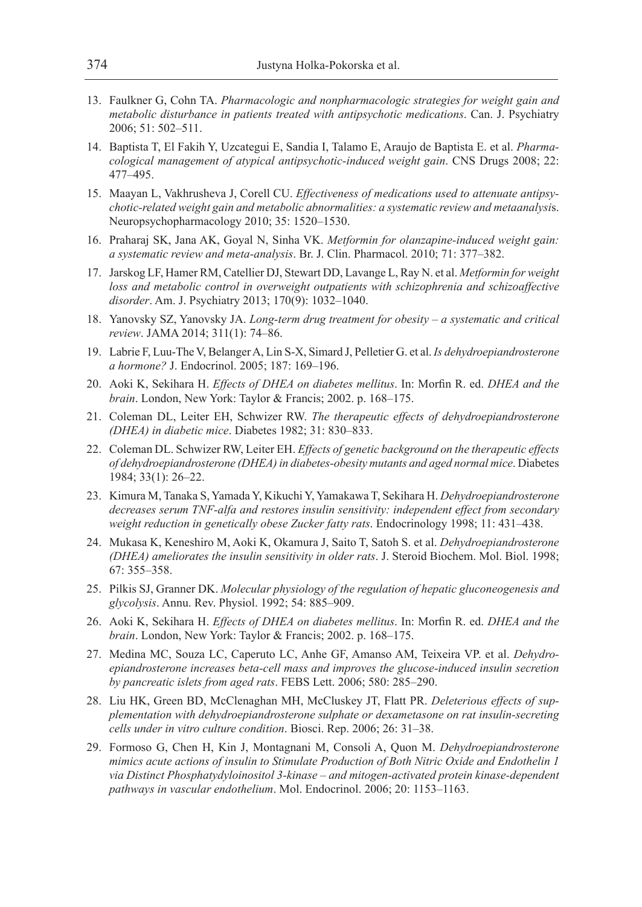- 13. Faulkner G, Cohn TA. *Pharmacologic and nonpharmacologic strategies for weight gain and metabolic disturbance in patients treated with antipsychotic medications*. Can. J. Psychiatry 2006; 51: 502–511.
- 14. Baptista T, El Fakih Y, Uzcategui E, Sandia I, Talamo E, Araujo de Baptista E. et al. *Pharmacological management of atypical antipsychotic-induced weight gain*. CNS Drugs 2008; 22: 477–495.
- 15. Maayan L, Vakhrusheva J, Corell CU. *Effectiveness of medications used to attenuate antipsychotic-related weight gain and metabolic abnormalities: a systematic review and metaanalysi*s. Neuropsychopharmacology 2010; 35: 1520–1530.
- 16. Praharaj SK, Jana AK, Goyal N, Sinha VK. *Metformin for olanzapine-induced weight gain: a systematic review and meta-analysis*. Br. J. Clin. Pharmacol. 2010; 71: 377–382.
- 17. Jarskog LF, Hamer RM, Catellier DJ, Stewart DD, Lavange L, Ray N. et al. *Metformin for weight*  loss and metabolic control in overweight outpatients with schizophrenia and schizoaffective *disorder*. Am. J. Psychiatry 2013; 170(9): 1032–1040.
- 18. Yanovsky SZ, Yanovsky JA. *Long-term drug treatment for obesity a systematic and critical review*. JAMA 2014; 311(1): 74–86.
- 19. Labrie F, Luu-The V, Belanger A, Lin S-X, Simard J, Pelletier G. et al. *Is dehydroepiandrosterone a hormone?* J. Endocrinol. 2005; 187: 169–196.
- 20. Aoki K, Sekihara H. *Effects of DHEA on diabetes mellitus*. In: Morfin R. ed. *DHEA and the brain*. London, New York: Taylor & Francis; 2002. p. 168–175.
- 21. Coleman DL, Leiter EH, Schwizer RW. *The therapeutic effects of dehydroepiandrosterone (DHEA) in diabetic mice*. Diabetes 1982; 31: 830–833.
- 22. Coleman DL. Schwizer RW, Leiter EH. *Effects of genetic background on the therapeutic effects of dehydroepiandrosterone (DHEA) in diabetes-obesity mutants and aged normal mice*. Diabetes 1984; 33(1): 26–22.
- 23. Kimura M, Tanaka S, Yamada Y, Kikuchi Y, Yamakawa T, Sekihara H. *Dehydroepiandrosterone decreases serum TNF-alfa and restores insulin sensitivity: independent effect from secondary weight reduction in genetically obese Zucker fatty rats*. Endocrinology 1998; 11: 431–438.
- 24. Mukasa K, Keneshiro M, Aoki K, Okamura J, Saito T, Satoh S. et al. *Dehydroepiandrosterone (DHEA) ameliorates the insulin sensitivity in older rats*. J. Steroid Biochem. Mol. Biol. 1998; 67: 355–358.
- 25. Pilkis SJ, Granner DK. *Molecular physiology of the regulation of hepatic gluconeogenesis and glycolysis*. Annu. Rev. Physiol. 1992; 54: 885–909.
- 26. Aoki K, Sekihara H. *Effects of DHEA on diabetes mellitus*. In: Morfin R. ed. *DHEA and the brain*. London, New York: Taylor & Francis; 2002. p. 168–175.
- 27. Medina MC, Souza LC, Caperuto LC, Anhe GF, Amanso AM, Teixeira VP. et al. *Dehydroepiandrosterone increases beta-cell mass and improves the glucose-induced insulin secretion by pancreatic islets from aged rats*. FEBS Lett. 2006; 580: 285–290.
- 28. Liu HK, Green BD, McClenaghan MH, McCluskey JT, Flatt PR. *Deleterious effects of supplementation with dehydroepiandrosterone sulphate or dexametasone on rat insulin-secreting cells under in vitro culture condition*. Biosci. Rep. 2006; 26: 31–38.
- 29. Formoso G, Chen H, Kin J, Montagnani M, Consoli A, Quon M. *Dehydroepiandrosterone mimics acute actions of insulin to Stimulate Production of Both Nitric Oxide and Endothelin 1 via Distinct Phosphatydyloinositol 3-kinase – and mitogen-activated protein kinase-dependent pathways in vascular endothelium*. Mol. Endocrinol. 2006; 20: 1153–1163.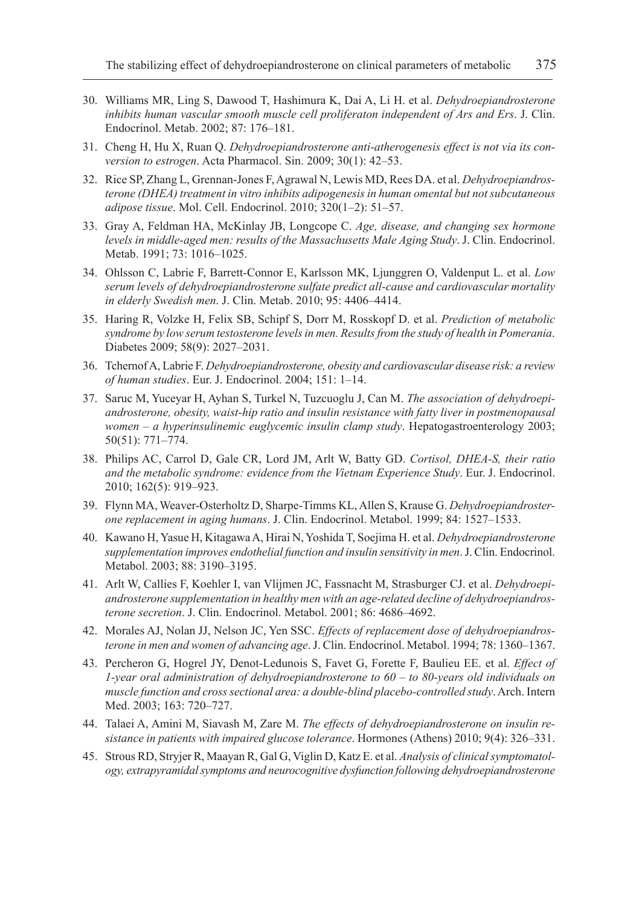- 30. Williams MR, Ling S, Dawood T, Hashimura K, Dai A, Li H. et al. *Dehydroepiandrosterone inhibits human vascular smooth muscle cell proliferaton independent of Ars and Ers*. J. Clin. Endocrinol. Metab. 2002; 87: 176–181.
- 31. Cheng H, Hu X, Ruan Q. *Dehydroepiandrosterone anti-atherogenesis effect is not via its conversion to estrogen*. Acta Pharmacol. Sin. 2009; 30(1): 42–53.
- 32. Rice SP, Zhang L, Grennan-Jones F, Agrawal N, Lewis MD, Rees DA. et al. *Dehydroepiandrosterone (DHEA) treatment in vitro inhibits adipogenesis in human omental but not subcutaneous adipose tissue*. Mol. Cell. Endocrinol. 2010; 320(1–2): 51–57.
- 33. Gray A, Feldman HA, McKinlay JB, Longcope C. *Age, disease, and changing sex hormone levels in middle-aged men: results of the Massachusetts Male Aging Study*. J. Clin. Endocrinol. Metab. 1991; 73: 1016–1025.
- 34. Ohlsson C, Labrie F, Barrett-Connor E, Karlsson MK, Ljunggren O, Valdenput L. et al. *Low serum levels of dehydroepiandrosterone sulfate predict all-cause and cardiovascular mortality in elderly Swedish men*. J. Clin. Metab. 2010; 95: 4406–4414.
- 35. Haring R, Volzke H, Felix SB, Schipf S, Dorr M, Rosskopf D. et al. *Prediction of metabolic syndrome by low serum testosterone levels in men. Results from the study of health in Pomerania*. Diabetes 2009; 58(9): 2027–2031.
- 36. Tchernof A, Labrie F. *Dehydroepiandrosterone, obesity and cardiovascular disease risk: a review of human studies*. Eur. J. Endocrinol. 2004; 151: 1–14.
- 37. Saruc M, Yuceyar H, Ayhan S, Turkel N, Tuzcuoglu J, Can M. *The association of dehydroepiandrosterone, obesity, waist-hip ratio and insulin resistance with fatty liver in postmenopausal women – a hyperinsulinemic euglycemic insulin clamp study*. Hepatogastroenterology 2003; 50(51): 771–774.
- 38. Philips AC, Carrol D, Gale CR, Lord JM, Arlt W, Batty GD. *Cortisol, DHEA-S, their ratio and the metabolic syndrome: evidence from the Vietnam Experience Study*. Eur. J. Endocrinol. 2010; 162(5): 919–923.
- 39. Flynn MA, Weaver-Osterholtz D, Sharpe-Timms KL, Allen S, Krause G. *Dehydroepiandrosterone replacement in aging humans*. J. Clin. Endocrinol. Metabol. 1999; 84: 1527–1533.
- 40. Kawano H, Yasue H, Kitagawa A, Hirai N, Yoshida T, Soejima H. et al. *Dehydroepiandrosterone supplementation improves endothelial function and insulin sensitivity in men*. J. Clin. Endocrinol. Metabol. 2003; 88: 3190–3195.
- 41. Arlt W, Callies F, Koehler I, van Vlijmen JC, Fassnacht M, Strasburger CJ. et al. *Dehydroepiandrosterone supplementation in healthy men with an age-related decline of dehydroepiandrosterone secretion*. J. Clin. Endocrinol. Metabol. 2001; 86: 4686–4692.
- 42. Morales AJ, Nolan JJ, Nelson JC, Yen SSC. *Effects of replacement dose of dehydroepiandrosterone in men and women of advancing age*. J. Clin. Endocrinol. Metabol. 1994; 78: 1360–1367.
- 43. Percheron G, Hogrel JY, Denot-Ledunois S, Favet G, Forette F, Baulieu EE. et al. *Effect of 1-year oral administration of dehydroepiandrosterone to 60 – to 80-years old individuals on muscle function and cross sectional area: a double-blind placebo-controlled study*. Arch. Intern Med. 2003; 163: 720–727.
- 44. Talaei A, Amini M, Siavash M, Zare M. *The effects of dehydroepiandrosterone on insulin resistance in patients with impaired glucose tolerance*. Hormones (Athens) 2010; 9(4): 326–331.
- 45. Strous RD, Stryjer R, Maayan R, Gal G, Viglin D, Katz E. et al. *Analysis of clinical symptomatology, extrapyramidal symptoms and neurocognitive dysfunction following dehydroepiandrosterone*